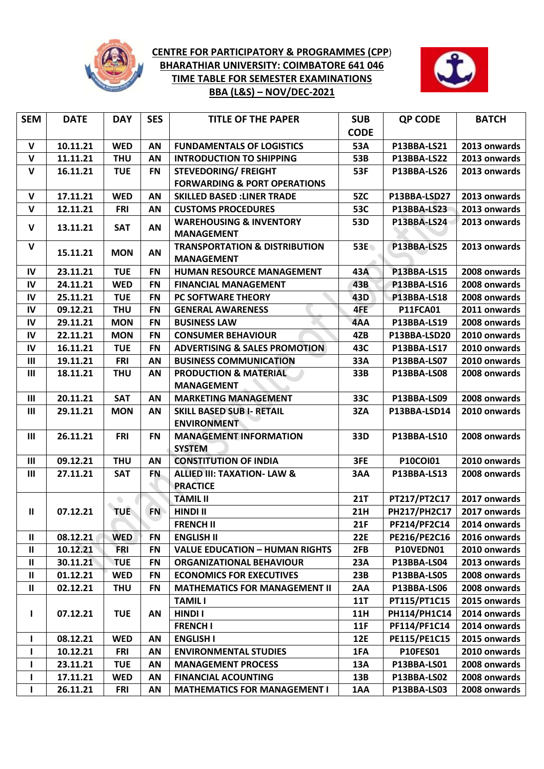

## **CENTRE FOR PARTICIPATORY & PROGRAMMES (CPP**) **BHARATHIAR UNIVERSITY: COIMBATORE 641 046 TIME TABLE FOR SEMESTER EXAMINATIONS BBA (L&S) – NOV/DEC-2021**



| <b>SEM</b>     | <b>DATE</b> | <b>DAY</b> | <b>SES</b> | <b>TITLE OF THE PAPER</b>                                     | <b>SUB</b>  | <b>QP CODE</b>      | <b>BATCH</b> |
|----------------|-------------|------------|------------|---------------------------------------------------------------|-------------|---------------------|--------------|
|                |             |            |            |                                                               | <b>CODE</b> |                     |              |
| $\mathbf v$    | 10.11.21    | <b>WED</b> | AN         | <b>FUNDAMENTALS OF LOGISTICS</b>                              | 53A         | P13BBA-LS21         | 2013 onwards |
| $\mathbf v$    | 11.11.21    | <b>THU</b> | AN         | <b>INTRODUCTION TO SHIPPING</b>                               | 53B         | P13BBA-LS22         | 2013 onwards |
| $\mathbf v$    | 16.11.21    | <b>TUE</b> | <b>FN</b>  | <b>STEVEDORING/ FREIGHT</b>                                   | 53F         | <b>P13BBA-LS26</b>  | 2013 onwards |
|                |             |            |            | <b>FORWARDING &amp; PORT OPERATIONS</b>                       |             |                     |              |
| V              | 17.11.21    | <b>WED</b> | AN         | <b>SKILLED BASED : LINER TRADE</b>                            | 5ZC         | P13BBA-LSD27        | 2013 onwards |
| $\mathsf{v}$   | 12.11.21    | <b>FRI</b> | AN         | <b>CUSTOMS PROCEDURES</b>                                     | <b>53C</b>  | P13BBA-LS23         | 2013 onwards |
| $\mathbf v$    | 13.11.21    | <b>SAT</b> | AN         | <b>WAREHOUSING &amp; INVENTORY</b><br><b>MANAGEMENT</b>       | 53D         | P13BBA-LS24         | 2013 onwards |
| $\mathbf v$    | 15.11.21    | <b>MON</b> | AN         | <b>TRANSPORTATION &amp; DISTRIBUTION</b><br><b>MANAGEMENT</b> | 53E         | <b>P13BBA-LS25</b>  | 2013 onwards |
| $\mathsf{IV}$  | 23.11.21    | <b>TUE</b> | <b>FN</b>  | HUMAN RESOURCE MANAGEMENT                                     | 43A         | <b>P13BBA-LS15</b>  | 2008 onwards |
| IV             | 24.11.21    | <b>WED</b> | <b>FN</b>  | <b>FINANCIAL MANAGEMENT</b>                                   | 43B         | P13BBA-LS16         | 2008 onwards |
| IV             | 25.11.21    | <b>TUE</b> | <b>FN</b>  | PC SOFTWARE THEORY                                            | 43D         | P13BBA-LS18         | 2008 onwards |
| $\mathsf{IV}$  | 09.12.21    | <b>THU</b> | <b>FN</b>  | <b>GENERAL AWARENESS</b>                                      | 4FE         | <b>P11FCA01</b>     | 2011 onwards |
| IV             | 29.11.21    | <b>MON</b> | <b>FN</b>  | <b>BUSINESS LAW</b>                                           | 4AA         | P13BBA-LS19         | 2008 onwards |
| IV             | 22.11.21    | <b>MON</b> | <b>FN</b>  | <b>CONSUMER BEHAVIOUR</b>                                     | 4ZB         | P13BBA-LSD20        | 2010 onwards |
| ${\sf IV}$     | 16.11.21    | <b>TUE</b> | <b>FN</b>  | <b>ADVERTISING &amp; SALES PROMOTION</b>                      | 43C         | P13BBA-LS17         | 2010 onwards |
| Ш              | 19.11.21    | <b>FRI</b> | AN         | <b>BUSINESS COMMUNICATION</b>                                 | 33A         | P13BBA-LS07         | 2010 onwards |
| $\mathbf{III}$ | 18.11.21    | <b>THU</b> | AN         | <b>PRODUCTION &amp; MATERIAL</b><br><b>MANAGEMENT</b>         | 33B         | P13BBA-LS08         | 2008 onwards |
| $\mathbf{III}$ | 20.11.21    | <b>SAT</b> | AN         | <b>MARKETING MANAGEMENT</b>                                   | 33C         | P13BBA-LS09         | 2008 onwards |
| $\mathbf{III}$ | 29.11.21    | <b>MON</b> | AN         | <b>SKILL BASED SUB I- RETAIL</b><br><b>ENVIRONMENT</b>        | 3ZA         | P13BBA-LSD14        | 2010 onwards |
| $\mathbf{III}$ | 26.11.21    | <b>FRI</b> | <b>FN</b>  | <b>MANAGEMENT INFORMATION</b><br><b>SYSTEM</b>                | 33D         | P13BBA-LS10         | 2008 onwards |
| $\mathbf{III}$ | 09.12.21    | <b>THU</b> | AN         | <b>CONSTITUTION OF INDIA</b>                                  | 3FE         | P10COI01            | 2010 onwards |
| $\mathbf{III}$ | 27.11.21    | <b>SAT</b> | <b>FN</b>  | <b>ALLIED III: TAXATION- LAW &amp;</b>                        | 3AA         | P13BBA-LS13         | 2008 onwards |
|                |             |            |            | <b>PRACTICE</b>                                               |             |                     |              |
|                |             | $\bigcirc$ |            | <b>TAMIL II</b>                                               | <b>21T</b>  | PT217/PT2C17        | 2017 onwards |
| $\mathbf H$    | 07.12.21    | <b>TUE</b> | <b>FN</b>  | <b>HINDI II</b>                                               | 21H         | <b>PH217/PH2C17</b> | 2017 onwards |
|                |             |            |            | <b>FRENCH II</b>                                              | 21F         | PF214/PF2C14        | 2014 onwards |
| $\mathbf{II}$  | 08.12.21    | <b>WED</b> | <b>FN</b>  | <b>ENGLISH II</b>                                             | <b>22E</b>  | <b>PE216/PE2C16</b> | 2016 onwards |
| $\mathbf{II}$  | 10.12.21    | <b>FRI</b> | <b>FN</b>  | <b>VALUE EDUCATION - HUMAN RIGHTS</b>                         | 2FB         | P10VEDN01           | 2010 onwards |
| $\mathbf{II}$  | 30.11.21    | <b>TUE</b> | <b>FN</b>  | <b>ORGANIZATIONAL BEHAVIOUR</b>                               | 23A         | P13BBA-LS04         | 2013 onwards |
| $\mathbf{H}$   | 01.12.21    | <b>WED</b> | <b>FN</b>  | <b>ECONOMICS FOR EXECUTIVES</b>                               | 23B         | P13BBA-LS05         | 2008 onwards |
| $\mathbf{H}$   | 02.12.21    | <b>THU</b> | FN         | <b>MATHEMATICS FOR MANAGEMENT II</b>                          | 2AA         | P13BBA-LS06         | 2008 onwards |
|                |             |            |            | <b>TAMIL I</b>                                                | <b>11T</b>  | PT115/PT1C15        | 2015 onwards |
| $\mathbf{I}$   | 07.12.21    | <b>TUE</b> | AN         | <b>HINDI I</b>                                                | 11H         | PH114/PH1C14        | 2014 onwards |
|                |             |            |            | <b>FRENCH I</b>                                               | 11F         | <b>PF114/PF1C14</b> | 2014 onwards |
| L              | 08.12.21    | <b>WED</b> | AN         | <b>ENGLISH I</b>                                              | 12E         | PE115/PE1C15        | 2015 onwards |
| L              | 10.12.21    | <b>FRI</b> | ΑN         | <b>ENVIRONMENTAL STUDIES</b>                                  | 1FA         | <b>P10FES01</b>     | 2010 onwards |
| L              | 23.11.21    | <b>TUE</b> | AN         | <b>MANAGEMENT PROCESS</b>                                     | 13A         | P13BBA-LS01         | 2008 onwards |
| L              | 17.11.21    | <b>WED</b> | AN         | <b>FINANCIAL ACOUNTING</b>                                    | 13B         | P13BBA-LS02         | 2008 onwards |
| L              | 26.11.21    | <b>FRI</b> | AN         | <b>MATHEMATICS FOR MANAGEMENT I</b>                           | 1AA         | P13BBA-LS03         | 2008 onwards |